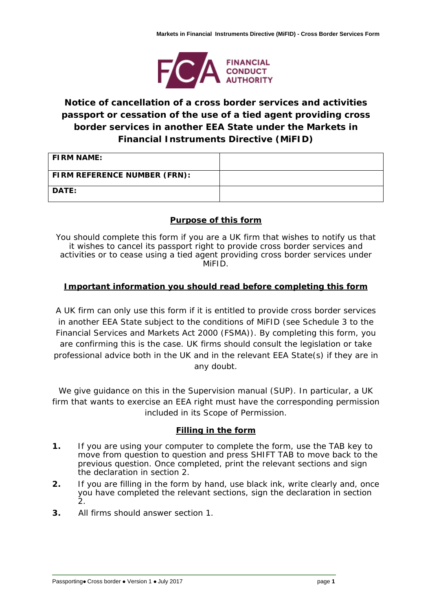

# **Notice of cancellation of a cross border services and activities passport or cessation of the use of a tied agent providing cross border services in another EEA State under the Markets in Financial Instruments Directive (MiFID)**

| <b>FIRM NAME:</b>            |  |
|------------------------------|--|
| FIRM REFERENCE NUMBER (FRN): |  |
| <b>DATE:</b>                 |  |

## **Purpose of this form**

You should complete this form if you are a UK firm that wishes to notify us that it wishes to cancel its passport right to provide cross border services and activities or to cease using a tied agent providing cross border services under MiFID.

## **Important information you should read before completing this form**

A UK firm can only use this form if it is entitled to provide cross border services in another EEA State subject to the conditions of MiFID (see Schedule 3 to the Financial Services and Markets Act 2000 (FSMA)). By completing this form, you are confirming this is the case. UK firms should consult the legislation or take professional advice both in the UK and in the relevant EEA State(s) if they are in any doubt.

We give guidance on this in the Supervision manual (SUP). In particular, a UK firm that wants to exercise an EEA right must have the corresponding permission included in its Scope of Permission.

### **Filling in the form**

- **1.** If you are using your computer to complete the form, use the TAB key to move from question to question and press SHIFT TAB to move back to the previous question. Once completed, print the relevant sections and sign the declaration in section 2.
- **2.** If you are filling in the form by hand, use black ink, write clearly and, once you have completed the relevant sections, sign the declaration in section 2.
- **3.** All firms should answer section 1.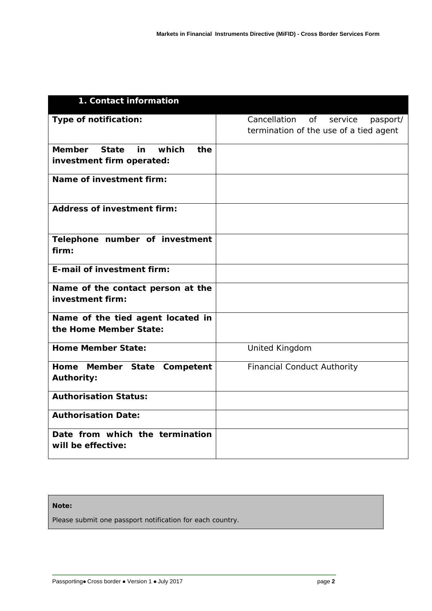| 1. Contact information                                                           |                                                                                  |
|----------------------------------------------------------------------------------|----------------------------------------------------------------------------------|
| Type of notification:                                                            | Cancellation<br>of service<br>pasport/<br>termination of the use of a tied agent |
| which<br><b>Member</b><br><b>State</b><br>in<br>the<br>investment firm operated: |                                                                                  |
| Name of investment firm:                                                         |                                                                                  |
| <b>Address of investment firm:</b>                                               |                                                                                  |
| Telephone number of investment<br>firm:                                          |                                                                                  |
| E-mail of investment firm:                                                       |                                                                                  |
| Name of the contact person at the<br>investment firm:                            |                                                                                  |
| Name of the tied agent located in<br>the Home Member State:                      |                                                                                  |
| <b>Home Member State:</b>                                                        | United Kingdom                                                                   |
| Home Member State<br>Competent<br><b>Authority:</b>                              | <b>Financial Conduct Authority</b>                                               |
| <b>Authorisation Status:</b>                                                     |                                                                                  |
| <b>Authorisation Date:</b>                                                       |                                                                                  |
| Date from which the termination<br>will be effective:                            |                                                                                  |

#### **Note:**

Please submit one passport notification for each country.